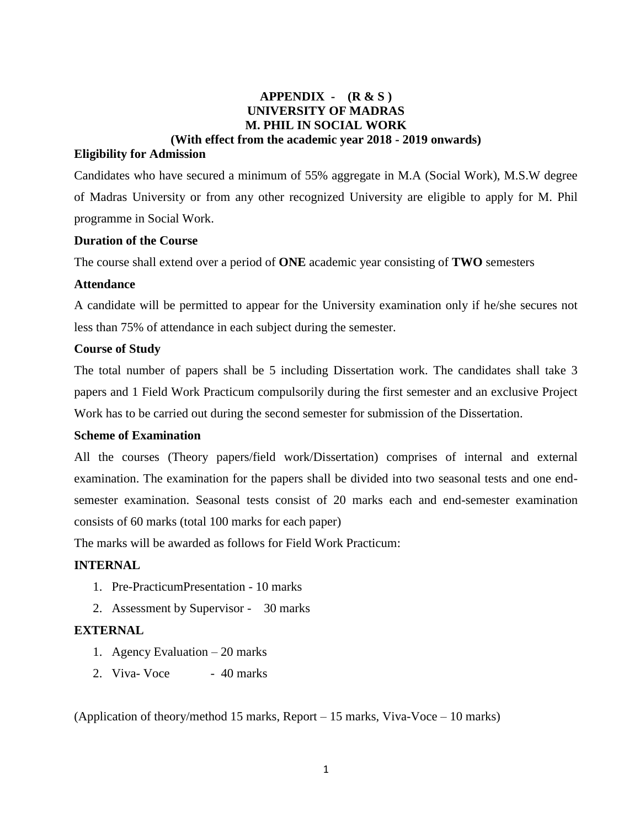# **APPENDIX - (R & S ) UNIVERSITY OF MADRAS M. PHIL IN SOCIAL WORK (With effect from the academic year 2018 - 2019 onwards)**

## **Eligibility for Admission**

Candidates who have secured a minimum of 55% aggregate in M.A (Social Work), M.S.W degree of Madras University or from any other recognized University are eligible to apply for M. Phil programme in Social Work.

#### **Duration of the Course**

The course shall extend over a period of **ONE** academic year consisting of **TWO** semesters

## **Attendance**

A candidate will be permitted to appear for the University examination only if he/she secures not less than 75% of attendance in each subject during the semester.

#### **Course of Study**

The total number of papers shall be 5 including Dissertation work. The candidates shall take 3 papers and 1 Field Work Practicum compulsorily during the first semester and an exclusive Project Work has to be carried out during the second semester for submission of the Dissertation.

## **Scheme of Examination**

All the courses (Theory papers/field work/Dissertation) comprises of internal and external examination. The examination for the papers shall be divided into two seasonal tests and one endsemester examination. Seasonal tests consist of 20 marks each and end-semester examination consists of 60 marks (total 100 marks for each paper)

The marks will be awarded as follows for Field Work Practicum:

# **INTERNAL**

- 1. Pre-PracticumPresentation 10 marks
- 2. Assessment by Supervisor 30 marks

## **EXTERNAL**

- 1. Agency Evaluation 20 marks
- 2. Viva- Voce 40 marks

(Application of theory/method 15 marks, Report – 15 marks, Viva-Voce – 10 marks)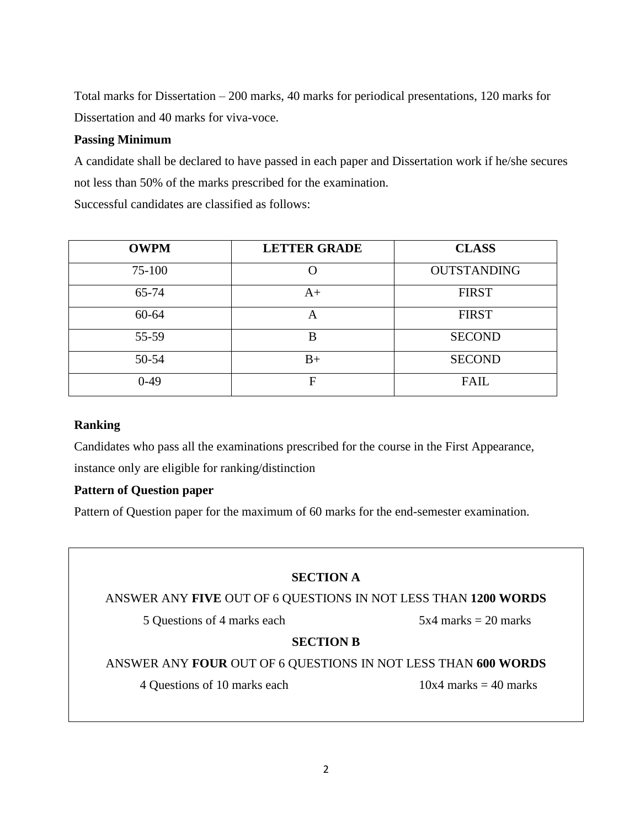Total marks for Dissertation – 200 marks, 40 marks for periodical presentations, 120 marks for Dissertation and 40 marks for viva-voce.

# **Passing Minimum**

A candidate shall be declared to have passed in each paper and Dissertation work if he/she secures not less than 50% of the marks prescribed for the examination.

Successful candidates are classified as follows:

| <b>OWPM</b> | <b>LETTER GRADE</b> | <b>CLASS</b>       |  |  |
|-------------|---------------------|--------------------|--|--|
| 75-100      |                     | <b>OUTSTANDING</b> |  |  |
| 65-74       | $A+$                | <b>FIRST</b>       |  |  |
| $60 - 64$   | $\forall$           | <b>FIRST</b>       |  |  |
| 55-59       | B                   | <b>SECOND</b>      |  |  |
| 50-54       | $B+$                | <b>SECOND</b>      |  |  |
| $0-49$      | F                   | <b>FAIL</b>        |  |  |

## **Ranking**

Candidates who pass all the examinations prescribed for the course in the First Appearance, instance only are eligible for ranking/distinction

## **Pattern of Question paper**

Pattern of Question paper for the maximum of 60 marks for the end-semester examination.

# **SECTION A**

# ANSWER ANY **FIVE** OUT OF 6 QUESTIONS IN NOT LESS THAN **1200 WORDS**

5 Questions of 4 marks each 5x4 marks = 20 marks

## **SECTION B**

ANSWER ANY **FOUR** OUT OF 6 QUESTIONS IN NOT LESS THAN **600 WORDS**

4 Questions of 10 marks each  $10x4$  marks  $= 40$  marks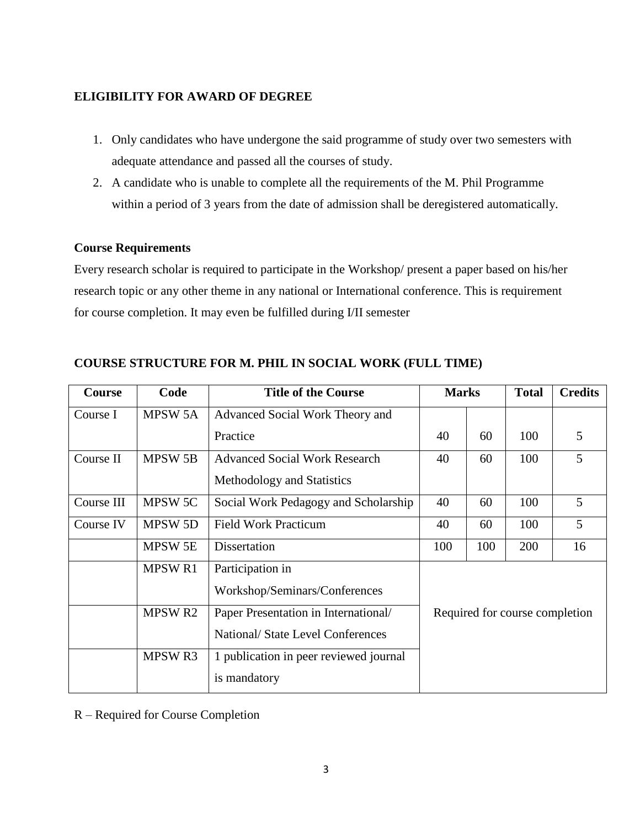# **ELIGIBILITY FOR AWARD OF DEGREE**

- 1. Only candidates who have undergone the said programme of study over two semesters with adequate attendance and passed all the courses of study.
- 2. A candidate who is unable to complete all the requirements of the M. Phil Programme within a period of 3 years from the date of admission shall be deregistered automatically.

## **Course Requirements**

Every research scholar is required to participate in the Workshop/ present a paper based on his/her research topic or any other theme in any national or International conference. This is requirement for course completion. It may even be fulfilled during I/II semester

| <b>Course</b> | Code               | <b>Title of the Course</b>             | <b>Marks</b>                   |     | <b>Total</b> | <b>Credits</b> |
|---------------|--------------------|----------------------------------------|--------------------------------|-----|--------------|----------------|
| Course I      | <b>MPSW 5A</b>     | Advanced Social Work Theory and        |                                |     |              |                |
|               |                    | Practice                               | 40                             | 60  | 100          | 5              |
| Course II     | <b>MPSW 5B</b>     | <b>Advanced Social Work Research</b>   | 40                             | 60  | 100          | 5              |
|               |                    | Methodology and Statistics             |                                |     |              |                |
| Course III    | MPSW 5C            | Social Work Pedagogy and Scholarship   | 40                             | 60  | 100          | 5              |
| Course IV     | <b>MPSW 5D</b>     | <b>Field Work Practicum</b>            | 40                             | 60  | 100          | 5              |
|               | <b>MPSW 5E</b>     | Dissertation                           | 100                            | 100 | 200          | 16             |
|               | <b>MPSWR1</b>      | Participation in                       |                                |     |              |                |
|               |                    | Workshop/Seminars/Conferences          |                                |     |              |                |
|               | MPSW R2            | Paper Presentation in International/   | Required for course completion |     |              |                |
|               |                    | National/ State Level Conferences      |                                |     |              |                |
|               | MPSW <sub>R3</sub> | 1 publication in peer reviewed journal |                                |     |              |                |
|               |                    | is mandatory                           |                                |     |              |                |

# **COURSE STRUCTURE FOR M. PHIL IN SOCIAL WORK (FULL TIME)**

R – Required for Course Completion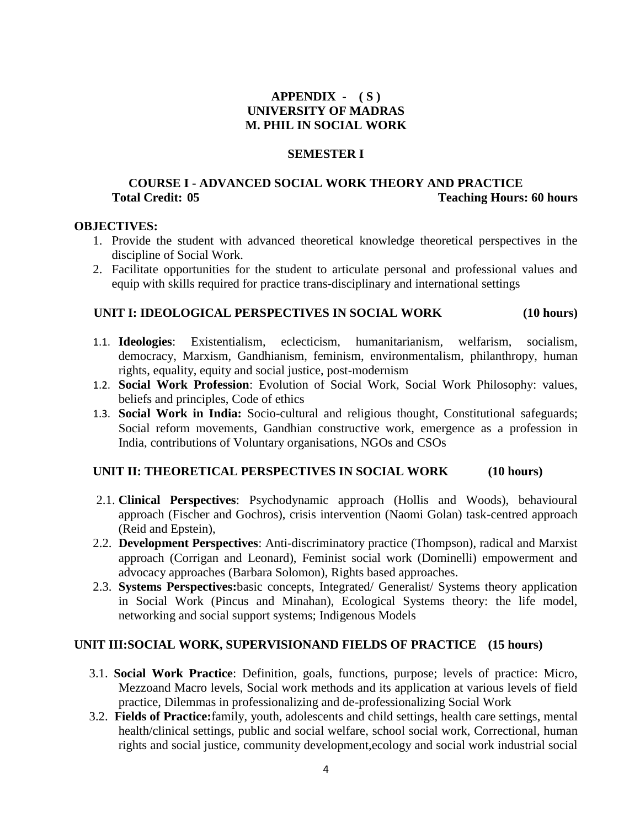# **APPENDIX - ( S ) UNIVERSITY OF MADRAS M. PHIL IN SOCIAL WORK**

#### **SEMESTER I**

## **COURSE I - ADVANCED SOCIAL WORK THEORY AND PRACTICE Total Credit: 05 Teaching Hours: 60 hours**

#### **OBJECTIVES:**

- 1. Provide the student with advanced theoretical knowledge theoretical perspectives in the discipline of Social Work.
- 2. Facilitate opportunities for the student to articulate personal and professional values and equip with skills required for practice trans-disciplinary and international settings

# **UNIT I: IDEOLOGICAL PERSPECTIVES IN SOCIAL WORK (10 hours)**

- 1.1. **Ideologies**: Existentialism, eclecticism, humanitarianism, welfarism, socialism, democracy, Marxism, Gandhianism, feminism, environmentalism, philanthropy, human rights, equality, equity and social justice, post-modernism
- 1.2. **Social Work Profession**: Evolution of Social Work, Social Work Philosophy: values, beliefs and principles, Code of ethics
- 1.3. **Social Work in India:** Socio-cultural and religious thought, Constitutional safeguards; Social reform movements, Gandhian constructive work, emergence as a profession in India, contributions of Voluntary organisations, NGOs and CSOs

## UNIT II: THEORETICAL PERSPECTIVES IN SOCIAL WORK (10 hours)

- 2.1. **Clinical Perspectives**: Psychodynamic approach (Hollis and Woods), behavioural approach (Fischer and Gochros), crisis intervention (Naomi Golan) task-centred approach (Reid and Epstein),
- 2.2. **Development Perspectives**: Anti-discriminatory practice (Thompson), radical and Marxist approach (Corrigan and Leonard), Feminist social work (Dominelli) empowerment and advocacy approaches (Barbara Solomon), Rights based approaches.
- 2.3. **Systems Perspectives:**basic concepts, Integrated/ Generalist/ Systems theory application in Social Work (Pincus and Minahan), Ecological Systems theory: the life model, networking and social support systems; Indigenous Models

## **UNIT III:SOCIAL WORK, SUPERVISIONAND FIELDS OF PRACTICE (15 hours)**

- 3.1. **Social Work Practice**: Definition, goals, functions, purpose; levels of practice: Micro, Mezzoand Macro levels, Social work methods and its application at various levels of field practice, Dilemmas in professionalizing and de-professionalizing Social Work
- 3.2. **Fields of Practice:**family, youth, adolescents and child settings, health care settings, mental health/clinical settings, public and social welfare, school social work, Correctional, human rights and social justice, community development,ecology and social work industrial social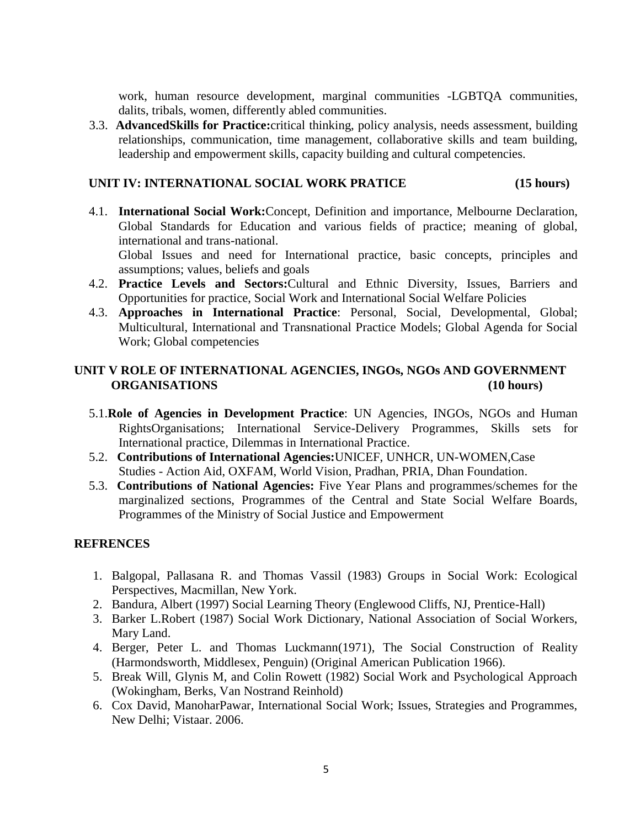work, human resource development, marginal communities -LGBTQA communities, dalits, tribals, women, differently abled communities.

3.3. **AdvancedSkills for Practice:**critical thinking, policy analysis, needs assessment, building relationships, communication, time management, collaborative skills and team building, leadership and empowerment skills, capacity building and cultural competencies.

#### **UNIT IV: INTERNATIONAL SOCIAL WORK PRATICE (15 hours)**

4.1. **International Social Work:**Concept, Definition and importance, Melbourne Declaration, Global Standards for Education and various fields of practice; meaning of global, international and trans-national.

Global Issues and need for International practice, basic concepts, principles and assumptions; values, beliefs and goals

- 4.2. **Practice Levels and Sectors:**Cultural and Ethnic Diversity, Issues, Barriers and Opportunities for practice, Social Work and International Social Welfare Policies
- 4.3. **Approaches in International Practice**: Personal, Social, Developmental, Global; Multicultural, International and Transnational Practice Models; Global Agenda for Social Work; Global competencies

# **UNIT V ROLE OF INTERNATIONAL AGENCIES, INGOs, NGOs AND GOVERNMENT ORGANISATIONS (10 hours)**

- 5.1.**Role of Agencies in Development Practice**: UN Agencies, INGOs, NGOs and Human RightsOrganisations; International Service-Delivery Programmes, Skills sets for International practice, Dilemmas in International Practice.
- 5.2. **Contributions of International Agencies:**UNICEF, UNHCR, UN-WOMEN,Case Studies - Action Aid, OXFAM, World Vision, Pradhan, PRIA, Dhan Foundation.
- 5.3. **Contributions of National Agencies:** Five Year Plans and programmes/schemes for the marginalized sections, Programmes of the Central and State Social Welfare Boards, Programmes of the Ministry of Social Justice and Empowerment

## **REFRENCES**

- 1. Balgopal, Pallasana R. and Thomas Vassil (1983) Groups in Social Work: Ecological Perspectives, Macmillan, New York.
- 2. Bandura, Albert (1997) Social Learning Theory (Englewood Cliffs, NJ, Prentice-Hall)
- 3. Barker L.Robert (1987) Social Work Dictionary, National Association of Social Workers, Mary Land.
- 4. Berger, Peter L. and Thomas Luckmann(1971), The Social Construction of Reality (Harmondsworth, Middlesex, Penguin) (Original American Publication 1966).
- 5. Break Will, Glynis M, and Colin Rowett (1982) Social Work and Psychological Approach (Wokingham, Berks, Van Nostrand Reinhold)
- 6. Cox David, ManoharPawar, International Social Work; Issues, Strategies and Programmes, New Delhi; Vistaar. 2006.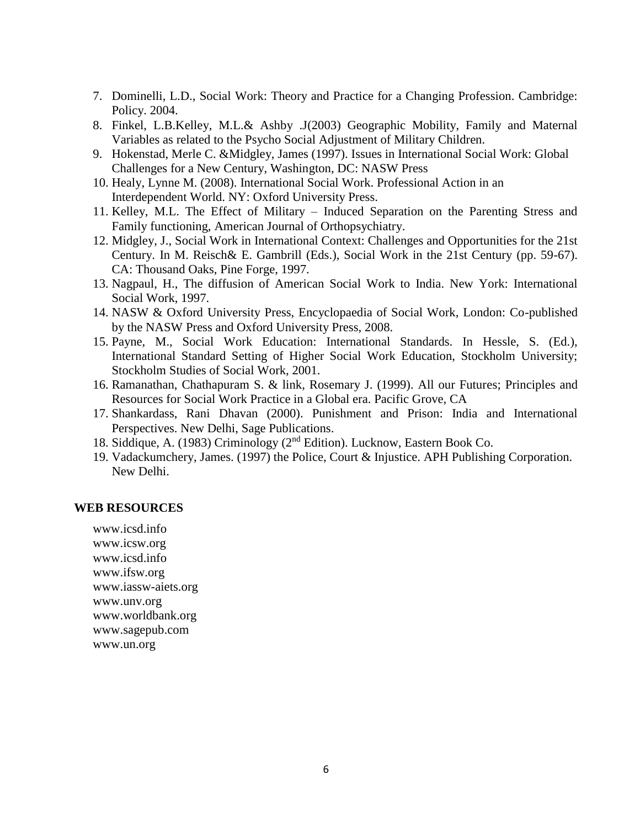- 7. Dominelli, L.D., Social Work: Theory and Practice for a Changing Profession. Cambridge: Policy. 2004.
- 8. Finkel, L.B.Kelley, M.L.& Ashby .J(2003) Geographic Mobility, Family and Maternal Variables as related to the Psycho Social Adjustment of Military Children.
- 9. Hokenstad, Merle C. &Midgley, James (1997). Issues in International Social Work: Global Challenges for a New Century, Washington, DC: NASW Press
- 10. Healy, Lynne M. (2008). International Social Work. Professional Action in an Interdependent World. NY: Oxford University Press.
- 11. Kelley, M.L. The Effect of Military Induced Separation on the Parenting Stress and Family functioning, American Journal of Orthopsychiatry.
- 12. Midgley, J., Social Work in International Context: Challenges and Opportunities for the 21st Century. In M. Reisch& E. Gambrill (Eds.), Social Work in the 21st Century (pp. 59-67). CA: Thousand Oaks, Pine Forge, 1997.
- 13. Nagpaul, H., The diffusion of American Social Work to India. New York: International Social Work, 1997.
- 14. NASW & Oxford University Press, Encyclopaedia of Social Work, London: Co-published by the NASW Press and Oxford University Press, 2008.
- 15. Payne, M., Social Work Education: International Standards. In Hessle, S. (Ed.), International Standard Setting of Higher Social Work Education, Stockholm University; Stockholm Studies of Social Work, 2001.
- 16. Ramanathan, Chathapuram S. & link, Rosemary J. (1999). All our Futures; Principles and Resources for Social Work Practice in a Global era. Pacific Grove, CA
- 17. Shankardass, Rani Dhavan (2000). Punishment and Prison: India and International Perspectives. New Delhi, Sage Publications.
- 18. Siddique, A. (1983) Criminology (2<sup>nd</sup> Edition). Lucknow, Eastern Book Co.
- 19. Vadackumchery, James. (1997) the Police, Court & Injustice. APH Publishing Corporation. New Delhi.

#### **WEB RESOURCES**

www.icsd.info www.icsw.org www.icsd.info www.ifsw.org www.iassw-aiets.org www.unv.org www.worldbank.org www.sagepub.com www.un.org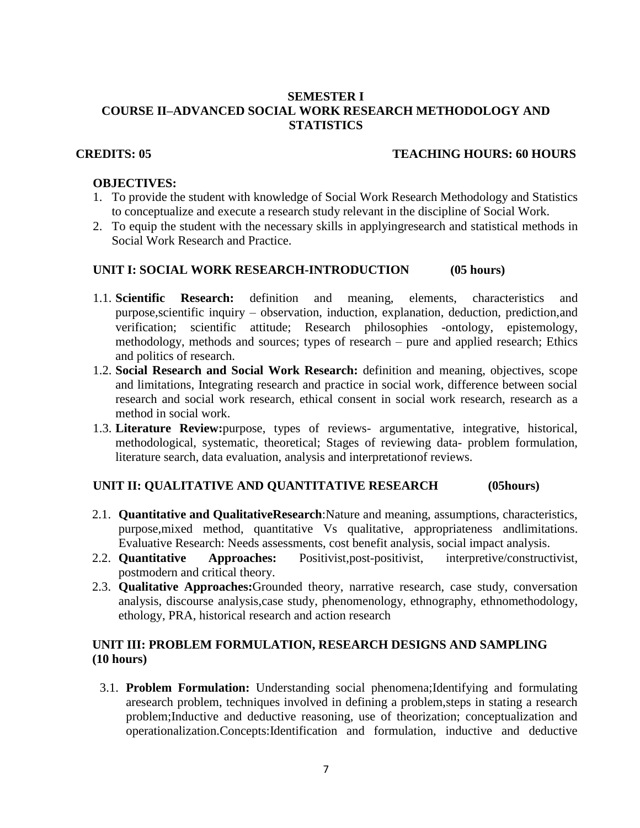# **SEMESTER I COURSE II–ADVANCED SOCIAL WORK RESEARCH METHODOLOGY AND STATISTICS**

## **CREDITS: 05 TEACHING HOURS: 60 HOURS**

## **OBJECTIVES:**

- 1. To provide the student with knowledge of Social Work Research Methodology and Statistics to conceptualize and execute a research study relevant in the discipline of Social Work.
- 2. To equip the student with the necessary skills in applyingresearch and statistical methods in Social Work Research and Practice.

# **UNIT I: SOCIAL WORK RESEARCH-INTRODUCTION (05 hours)**

- 1.1. **Scientific Research:** definition and meaning, elements, characteristics and purpose,scientific inquiry – observation, induction, explanation, deduction, prediction,and verification; scientific attitude; Research philosophies -ontology, epistemology, methodology, methods and sources; types of research – pure and applied research; Ethics and politics of research.
- 1.2. **Social Research and Social Work Research:** definition and meaning, objectives, scope and limitations, Integrating research and practice in social work, difference between social research and social work research, ethical consent in social work research, research as a method in social work.
- 1.3. **Literature Review:**purpose, types of reviews- argumentative, integrative, historical, methodological, systematic, theoretical; Stages of reviewing data- problem formulation, literature search, data evaluation, analysis and interpretationof reviews.

## **UNIT II: QUALITATIVE AND QUANTITATIVE RESEARCH (05hours)**

- 2.1. **Quantitative and QualitativeResearch**:Nature and meaning, assumptions, characteristics, purpose,mixed method, quantitative Vs qualitative, appropriateness andlimitations. Evaluative Research: Needs assessments, cost benefit analysis, social impact analysis.
- 2.2. **Quantitative Approaches:** Positivist,post-positivist, interpretive/constructivist, postmodern and critical theory.
- 2.3. **Qualitative Approaches:**Grounded theory, narrative research, case study, conversation analysis, discourse analysis,case study, phenomenology, ethnography, ethnomethodology, ethology, PRA, historical research and action research

# **UNIT III: PROBLEM FORMULATION, RESEARCH DESIGNS AND SAMPLING (10 hours)**

3.1. **Problem Formulation:** Understanding social phenomena;Identifying and formulating aresearch problem, techniques involved in defining a problem,steps in stating a research problem;Inductive and deductive reasoning, use of theorization; conceptualization and operationalization.Concepts:Identification and formulation, inductive and deductive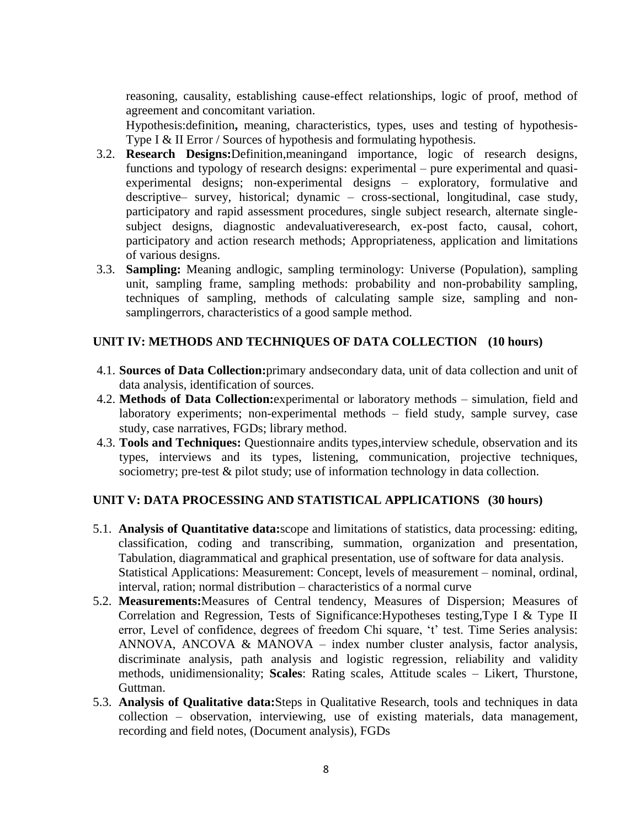reasoning, causality, establishing cause-effect relationships, logic of proof, method of agreement and concomitant variation.

Hypothesis:definition**,** meaning, characteristics, types, uses and testing of hypothesis-Type I & II Error / Sources of hypothesis and formulating hypothesis.

- 3.2. **Research Designs:**Definition,meaningand importance, logic of research designs, functions and typology of research designs: experimental – pure experimental and quasiexperimental designs; non-experimental designs – exploratory, formulative and descriptive– survey, historical; dynamic – cross-sectional, longitudinal, case study, participatory and rapid assessment procedures, single subject research, alternate singlesubject designs, diagnostic andevaluativeresearch, ex-post facto, causal, cohort, participatory and action research methods; Appropriateness, application and limitations of various designs.
- 3.3. **Sampling:** Meaning andlogic, sampling terminology: Universe (Population), sampling unit, sampling frame, sampling methods: probability and non-probability sampling, techniques of sampling, methods of calculating sample size, sampling and nonsamplingerrors, characteristics of a good sample method.

# **UNIT IV: METHODS AND TECHNIQUES OF DATA COLLECTION (10 hours)**

- 4.1. **Sources of Data Collection:**primary andsecondary data, unit of data collection and unit of data analysis, identification of sources.
- 4.2. **Methods of Data Collection:**experimental or laboratory methods simulation, field and laboratory experiments; non-experimental methods – field study, sample survey, case study, case narratives, FGDs; library method.
- 4.3. **Tools and Techniques:** Questionnaire andits types,interview schedule, observation and its types, interviews and its types, listening, communication, projective techniques, sociometry; pre-test & pilot study; use of information technology in data collection.

# **UNIT V: DATA PROCESSING AND STATISTICAL APPLICATIONS (30 hours)**

- 5.1. **Analysis of Quantitative data:**scope and limitations of statistics, data processing: editing, classification, coding and transcribing, summation, organization and presentation, Tabulation, diagrammatical and graphical presentation, use of software for data analysis. Statistical Applications: Measurement: Concept, levels of measurement – nominal, ordinal, interval, ration; normal distribution – characteristics of a normal curve
- 5.2. **Measurements:**Measures of Central tendency, Measures of Dispersion; Measures of Correlation and Regression, Tests of Significance:Hypotheses testing,Type I & Type II error, Level of confidence, degrees of freedom Chi square, 't' test. Time Series analysis: ANNOVA, ANCOVA & MANOVA – index number cluster analysis, factor analysis, discriminate analysis, path analysis and logistic regression, reliability and validity methods, unidimensionality; **Scales**: Rating scales, Attitude scales – Likert, Thurstone, Guttman.
- 5.3. **Analysis of Qualitative data:**Steps in Qualitative Research, tools and techniques in data collection – observation, interviewing, use of existing materials, data management, recording and field notes, (Document analysis), FGDs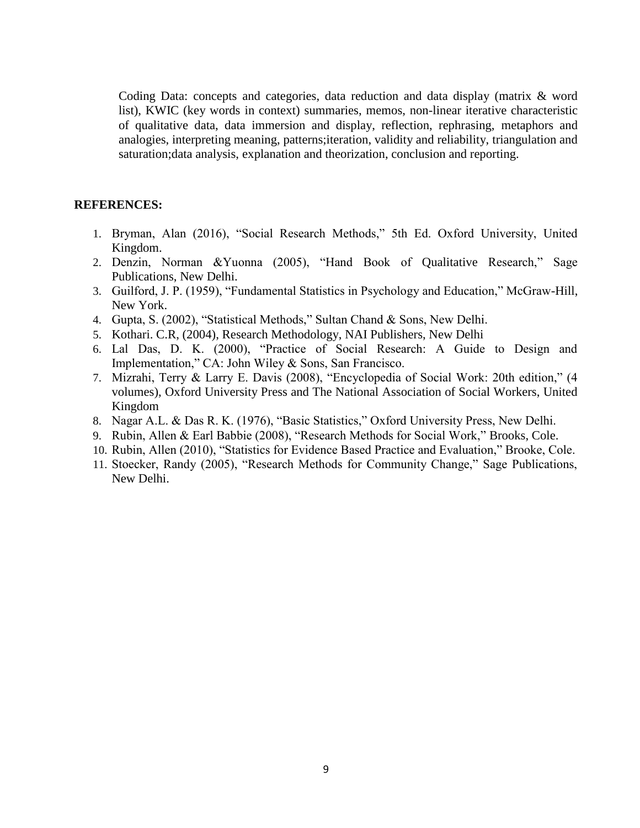Coding Data: concepts and categories, data reduction and data display (matrix & word list), KWIC (key words in context) summaries, memos, non-linear iterative characteristic of qualitative data, data immersion and display, reflection, rephrasing, metaphors and analogies, interpreting meaning, patterns;iteration, validity and reliability, triangulation and saturation;data analysis, explanation and theorization, conclusion and reporting.

#### **REFERENCES:**

- 1. Bryman, Alan (2016), "Social Research Methods," 5th Ed. Oxford University, United Kingdom.
- 2. Denzin, Norman &Yuonna (2005), "Hand Book of Qualitative Research," Sage Publications, New Delhi.
- 3. Guilford, J. P. (1959), "Fundamental Statistics in Psychology and Education," McGraw-Hill, New York.
- 4. Gupta, S. (2002), "Statistical Methods," Sultan Chand & Sons, New Delhi.
- 5. Kothari. C.R, (2004), Research Methodology, NAI Publishers, New Delhi
- 6. Lal Das, D. K. (2000), "Practice of Social Research: A Guide to Design and Implementation," CA: John Wiley & Sons, San Francisco.
- 7. Mizrahi, Terry & Larry E. Davis (2008), "Encyclopedia of Social Work: 20th edition," (4 volumes), Oxford University Press and The National Association of Social Workers, United Kingdom
- 8. Nagar A.L. & Das R. K. (1976), "Basic Statistics," Oxford University Press, New Delhi.
- 9. Rubin, Allen & Earl Babbie (2008), "Research Methods for Social Work," Brooks, Cole.
- 10. Rubin, Allen (2010), "Statistics for Evidence Based Practice and Evaluation," Brooke, Cole.
- 11. Stoecker, Randy (2005), "Research Methods for Community Change," Sage Publications, New Delhi.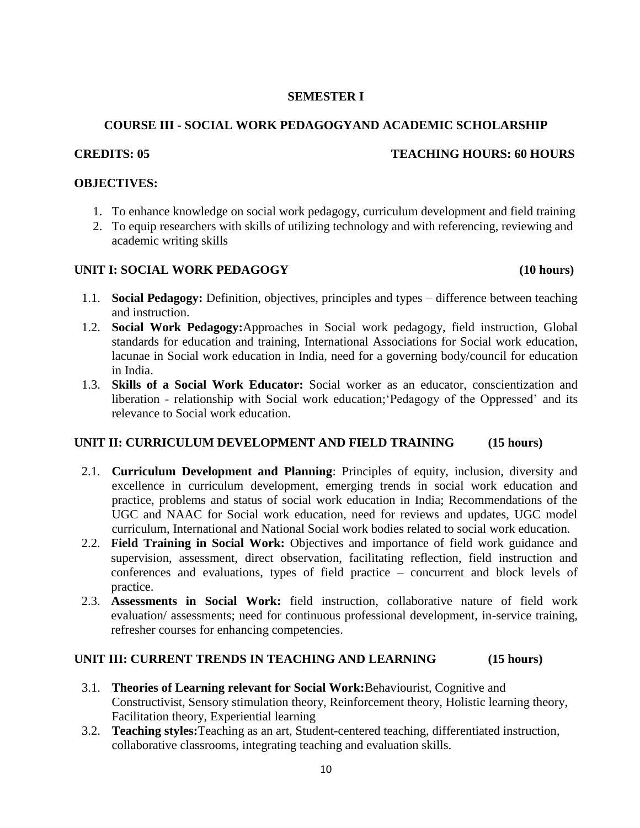# **SEMESTER I**

# **COURSE III - SOCIAL WORK PEDAGOGYAND ACADEMIC SCHOLARSHIP**

# **CREDITS: 05 TEACHING HOURS: 60 HOURS**

## **OBJECTIVES:**

- 1. To enhance knowledge on social work pedagogy, curriculum development and field training
- 2. To equip researchers with skills of utilizing technology and with referencing, reviewing and academic writing skills

# **UNIT I: SOCIAL WORK PEDAGOGY (10 hours)**

- 1.1. **Social Pedagogy:** Definition, objectives, principles and types difference between teaching and instruction.
- 1.2. **Social Work Pedagogy:**Approaches in Social work pedagogy, field instruction, Global standards for education and training, International Associations for Social work education, lacunae in Social work education in India, need for a governing body/council for education in India.
- 1.3. **Skills of a Social Work Educator:** Social worker as an educator, conscientization and liberation - relationship with Social work education;'Pedagogy of the Oppressed' and its relevance to Social work education.

# **UNIT II: CURRICULUM DEVELOPMENT AND FIELD TRAINING (15 hours)**

- 2.1. **Curriculum Development and Planning**: Principles of equity, inclusion, diversity and excellence in curriculum development, emerging trends in social work education and practice, problems and status of social work education in India; Recommendations of the UGC and NAAC for Social work education, need for reviews and updates, UGC model curriculum, International and National Social work bodies related to social work education.
- 2.2. **Field Training in Social Work:** Objectives and importance of field work guidance and supervision, assessment, direct observation, facilitating reflection, field instruction and conferences and evaluations, types of field practice – concurrent and block levels of practice.
- 2.3. **Assessments in Social Work:** field instruction, collaborative nature of field work evaluation/ assessments; need for continuous professional development, in-service training, refresher courses for enhancing competencies.

# **UNIT III: CURRENT TRENDS IN TEACHING AND LEARNING (15 hours)**

- 3.1. **Theories of Learning relevant for Social Work:**Behaviourist, Cognitive and Constructivist, Sensory [stimulation](https://www.brookes.ac.uk/services/ocsld/resources/theories.html#sensory) theory, [Reinforcement](https://www.brookes.ac.uk/services/ocsld/resources/theories.html#reinforcement) theory, [Holistic](https://www.brookes.ac.uk/services/ocsld/resources/theories.html#holistic) learning theory, [Facilitation](https://www.brookes.ac.uk/services/ocsld/resources/theories.html#facilitation) theory, [Experiential](https://www.brookes.ac.uk/services/ocsld/resources/theories.html#experiential) learning
- 3.2. **Teaching styles:**Teaching as an art, Student-centered teaching, differentiated instruction, collaborative classrooms, integrating teaching and evaluation skills.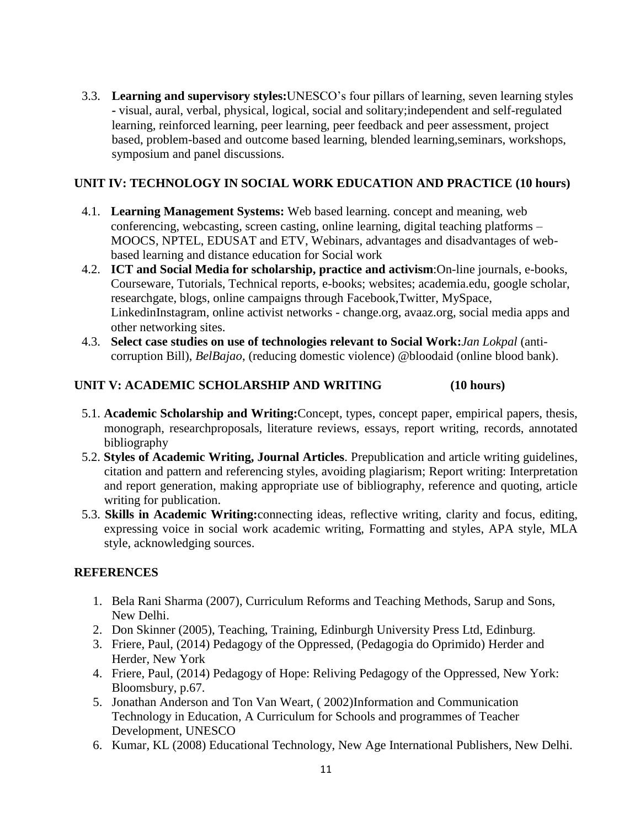3.3. **Learning and supervisory styles:**UNESCO's four pillars of learning, seven learning styles **-** visual, aural, verbal, physical, logical, social and solitary;independent and self-regulated learning, reinforced learning, peer learning, peer feedback and peer assessment, project based, problem-based and outcome based learning, blended learning,seminars, workshops, symposium and panel discussions.

# **UNIT IV: TECHNOLOGY IN SOCIAL WORK EDUCATION AND PRACTICE (10 hours)**

- 4.1. **Learning Management Systems:** Web based learning. concept and meaning, web conferencing, webcasting, screen casting, online learning, digital teaching platforms – MOOCS, NPTEL, EDUSAT and ETV, Webinars, advantages and disadvantages of webbased learning and distance education for Social work
- 4.2. **ICT and Social Media for scholarship, practice and activism**:On-line journals, e-books, Courseware, Tutorials, Technical reports, e-books; websites; academia.edu, google scholar, researchgate, blogs, online campaigns through Facebook,Twitter, MySpace, LinkedinInstagram, online activist networks - change.org, avaaz.org, social media apps and other networking sites.
- 4.3. **Select case studies on use of technologies relevant to Social Work:***Jan Lokpal* (anticorruption Bill), *BelBajao*, (reducing domestic violence) @bloodaid (online blood bank).

# **UNIT V: ACADEMIC SCHOLARSHIP AND WRITING (10 hours)**

- 5.1. **Academic Scholarship and Writing:**Concept, types, concept paper, empirical papers, thesis, monograph, researchproposals, literature reviews, essays, report writing, records, annotated bibliography
- 5.2. **Styles of Academic Writing, Journal Articles**. Prepublication and article writing guidelines, citation and pattern and referencing styles, avoiding plagiarism; Report writing: Interpretation and report generation, making appropriate use of bibliography, reference and quoting, article writing for publication.
- 5.3. **Skills in Academic Writing:**connecting ideas, reflective writing, clarity and focus, editing, expressing voice in social work academic writing, Formatting and styles, APA style, MLA style, acknowledging sources.

# **REFERENCES**

- 1. Bela Rani Sharma (2007), Curriculum Reforms and Teaching Methods, Sarup and Sons, New Delhi.
- 2. Don Skinner (2005), Teaching, Training, Edinburgh University Press Ltd, Edinburg.
- 3. Friere, Paul, (2014) Pedagogy of the Oppressed, (Pedagogia do Oprimido) Herder and Herder, New York
- 4. Friere, Paul, (2014) Pedagogy of Hope: Reliving Pedagogy of the Oppressed, New York: Bloomsbury, p.67.
- 5. Jonathan Anderson and Ton Van Weart, ( 2002)Information and Communication Technology in Education, A Curriculum for Schools and programmes of Teacher Development, UNESCO
- 6. Kumar, KL (2008) Educational Technology, New Age International Publishers, New Delhi.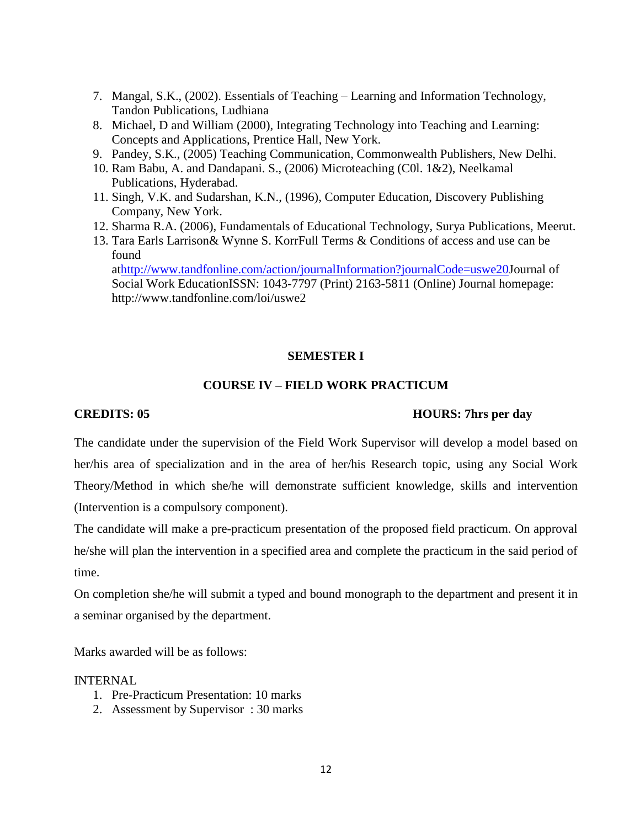- 7. Mangal, S.K., (2002). Essentials of Teaching Learning and Information Technology, Tandon Publications, Ludhiana
- 8. Michael, D and William (2000), Integrating Technology into Teaching and Learning: Concepts and Applications, Prentice Hall, New York.
- 9. Pandey, S.K., (2005) Teaching Communication, Commonwealth Publishers, New Delhi.
- 10. Ram Babu, A. and Dandapani. S., (2006) Microteaching (C0l. 1&2), Neelkamal Publications, Hyderabad.
- 11. Singh, V.K. and Sudarshan, K.N., (1996), Computer Education, Discovery Publishing Company, New York.
- 12. Sharma R.A. (2006), Fundamentals of Educational Technology, Surya Publications, Meerut.
- 13. Tara Earls Larrison& Wynne S. KorrFull Terms & Conditions of access and use can be found

a[thttp://www.tandfonline.com/action/journalInformation?journalCode=uswe20J](http://www.tandfonline.com/action/journalInformation?journalCode=uswe20)ournal of Social Work EducationISSN: 1043-7797 (Print) 2163-5811 (Online) Journal homepage: http://www.tandfonline.com/loi/uswe2

## **SEMESTER I**

# **COURSE IV – FIELD WORK PRACTICUM**

## **CREDITS: 05 HOURS: 7hrs per day**

The candidate under the supervision of the Field Work Supervisor will develop a model based on her/his area of specialization and in the area of her/his Research topic, using any Social Work Theory/Method in which she/he will demonstrate sufficient knowledge, skills and intervention (Intervention is a compulsory component).

The candidate will make a pre-practicum presentation of the proposed field practicum. On approval he/she will plan the intervention in a specified area and complete the practicum in the said period of time.

On completion she/he will submit a typed and bound monograph to the department and present it in a seminar organised by the department.

Marks awarded will be as follows:

#### INTERNAL

- 1. Pre-Practicum Presentation: 10 marks
- 2. Assessment by Supervisor : 30 marks